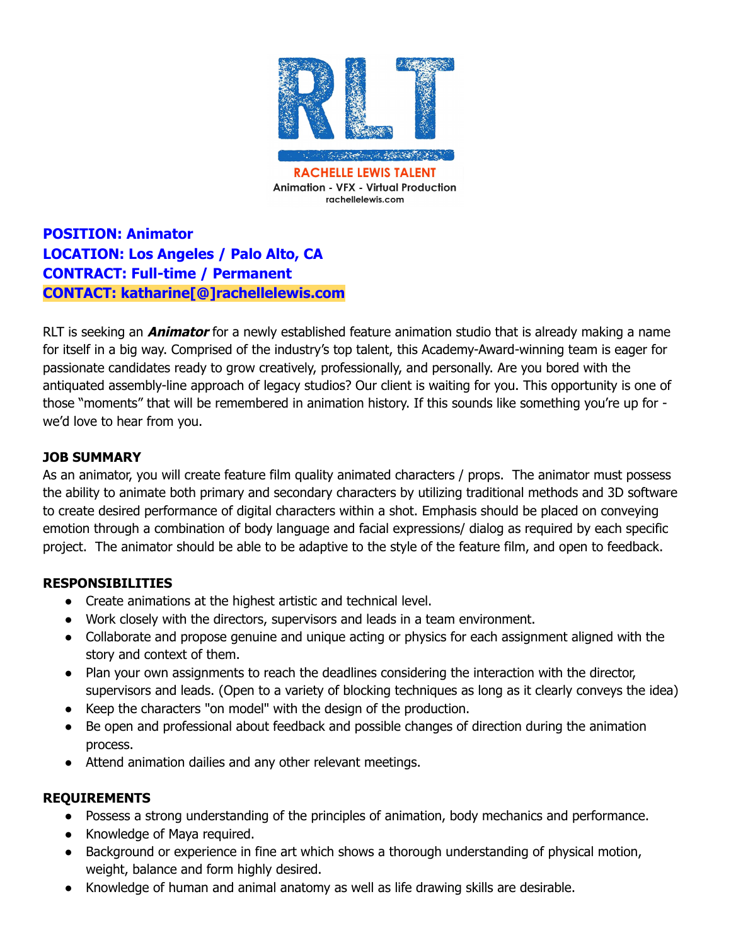

**POSITION: Animator LOCATION: Los Angeles / Palo Alto, CA CONTRACT: Full-time / Permanent CONTACT: katharine[@]rachellelewis.com**

RLT is seeking an **Animator** for a newly established feature animation studio that is already making a name for itself in a big way. Comprised of the industry's top talent, this Academy-Award-winning team is eager for passionate candidates ready to grow creatively, professionally, and personally. Are you bored with the antiquated assembly-line approach of legacy studios? Our client is waiting for you. This opportunity is one of those "moments" that will be remembered in animation history. If this sounds like something you're up for we'd love to hear from you.

## **JOB SUMMARY**

As an animator, you will create feature film quality animated characters / props. The animator must possess the ability to animate both primary and secondary characters by utilizing traditional methods and 3D software to create desired performance of digital characters within a shot. Emphasis should be placed on conveying emotion through a combination of body language and facial expressions/ dialog as required by each specific project. The animator should be able to be adaptive to the style of the feature film, and open to feedback.

## **RESPONSIBILITIES**

- Create animations at the highest artistic and technical level.
- Work closely with the directors, supervisors and leads in a team environment.
- Collaborate and propose genuine and unique acting or physics for each assignment aligned with the story and context of them.
- Plan your own assignments to reach the deadlines considering the interaction with the director, supervisors and leads. (Open to a variety of blocking techniques as long as it clearly conveys the idea)
- Keep the characters "on model" with the design of the production.
- Be open and professional about feedback and possible changes of direction during the animation process.
- Attend animation dailies and any other relevant meetings.

## **REQUIREMENTS**

- Possess a strong understanding of the principles of animation, body mechanics and performance.
- Knowledge of Maya required.
- Background or experience in fine art which shows a thorough understanding of physical motion, weight, balance and form highly desired.
- Knowledge of human and animal anatomy as well as life drawing skills are desirable.